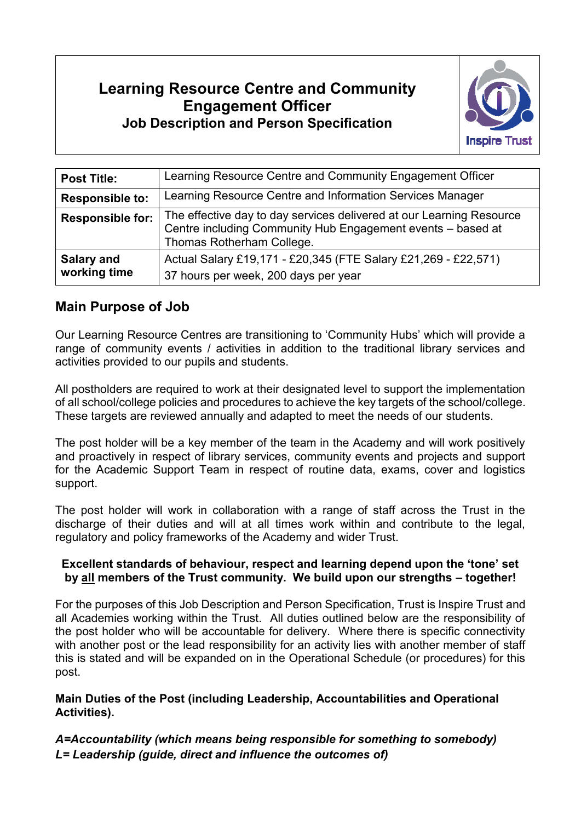# **Learning Resource Centre and Community Engagement Officer Job Description and Person Specification**



| <b>Post Title:</b>                | Learning Resource Centre and Community Engagement Officer                                                                                                        |
|-----------------------------------|------------------------------------------------------------------------------------------------------------------------------------------------------------------|
| <b>Responsible to:</b>            | Learning Resource Centre and Information Services Manager                                                                                                        |
| <b>Responsible for:</b>           | The effective day to day services delivered at our Learning Resource<br>Centre including Community Hub Engagement events - based at<br>Thomas Rotherham College. |
| <b>Salary and</b><br>working time | Actual Salary £19,171 - £20,345 (FTE Salary £21,269 - £22,571)<br>37 hours per week, 200 days per year                                                           |

### **Main Purpose of Job**

Our Learning Resource Centres are transitioning to 'Community Hubs' which will provide a range of community events / activities in addition to the traditional library services and activities provided to our pupils and students.

All postholders are required to work at their designated level to support the implementation of all school/college policies and procedures to achieve the key targets of the school/college. These targets are reviewed annually and adapted to meet the needs of our students.

The post holder will be a key member of the team in the Academy and will work positively and proactively in respect of library services, community events and projects and support for the Academic Support Team in respect of routine data, exams, cover and logistics support.

The post holder will work in collaboration with a range of staff across the Trust in the discharge of their duties and will at all times work within and contribute to the legal, regulatory and policy frameworks of the Academy and wider Trust.

#### **Excellent standards of behaviour, respect and learning depend upon the 'tone' set by all members of the Trust community. We build upon our strengths – together!**

For the purposes of this Job Description and Person Specification, Trust is Inspire Trust and all Academies working within the Trust. All duties outlined below are the responsibility of the post holder who will be accountable for delivery. Where there is specific connectivity with another post or the lead responsibility for an activity lies with another member of staff this is stated and will be expanded on in the Operational Schedule (or procedures) for this post.

#### **Main Duties of the Post (including Leadership, Accountabilities and Operational Activities).**

*A=Accountability (which means being responsible for something to somebody) L= Leadership (guide, direct and influence the outcomes of)*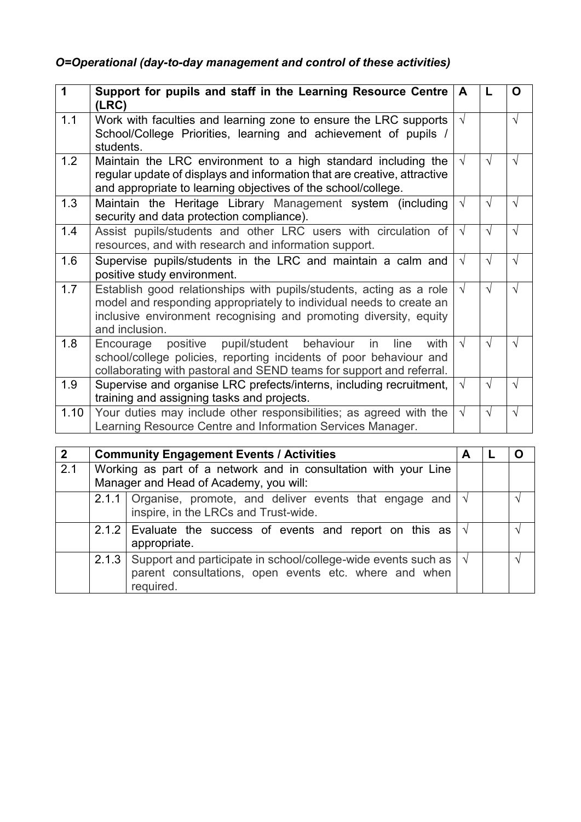## *O=Operational (day-to-day management and control of these activities)*

| 1    | Support for pupils and staff in the Learning Resource Centre<br>(LRC)                                                                                                                                                             | A          | L          | O          |
|------|-----------------------------------------------------------------------------------------------------------------------------------------------------------------------------------------------------------------------------------|------------|------------|------------|
| 1.1  | Work with faculties and learning zone to ensure the LRC supports<br>School/College Priorities, learning and achievement of pupils<br>students.                                                                                    | $\sqrt{ }$ |            | $\sqrt{ }$ |
| 1.2  | Maintain the LRC environment to a high standard including the<br>regular update of displays and information that are creative, attractive<br>and appropriate to learning objectives of the school/college.                        | $\sqrt{ }$ | $\sqrt{ }$ | $\sqrt{ }$ |
| 1.3  | Maintain the Heritage Library Management system (including<br>security and data protection compliance).                                                                                                                           | $\sqrt{ }$ | $\sqrt{ }$ | $\sqrt{ }$ |
| 1.4  | Assist pupils/students and other LRC users with circulation of<br>resources, and with research and information support.                                                                                                           | $\sqrt{ }$ | $\sqrt{ }$ | $\sqrt{ }$ |
| 1.6  | Supervise pupils/students in the LRC and maintain a calm and<br>positive study environment.                                                                                                                                       | $\sqrt{ }$ | $\sqrt{ }$ | $\sqrt{ }$ |
| 1.7  | Establish good relationships with pupils/students, acting as a role<br>model and responding appropriately to individual needs to create an<br>inclusive environment recognising and promoting diversity, equity<br>and inclusion. | $\sqrt{ }$ | $\sqrt{ }$ | $\sqrt{ }$ |
| 1.8  | positive pupil/student behaviour<br>in<br>line<br>with<br>Encourage<br>school/college policies, reporting incidents of poor behaviour and<br>collaborating with pastoral and SEND teams for support and referral.                 | $\sqrt{ }$ | $\sqrt{ }$ | $\sqrt{ }$ |
| 1.9  | Supervise and organise LRC prefects/interns, including recruitment,<br>training and assigning tasks and projects.                                                                                                                 | $\sqrt{ }$ | $\sqrt{}$  | $\sqrt{}$  |
| 1.10 | Your duties may include other responsibilities; as agreed with the<br>Learning Resource Centre and Information Services Manager.                                                                                                  | $\sqrt{ }$ | $\sqrt{ }$ | $\sqrt{ }$ |

| 2   | <b>Community Engagement Events / Activities</b>                                                           |                                                                                                                                                                | A |  |
|-----|-----------------------------------------------------------------------------------------------------------|----------------------------------------------------------------------------------------------------------------------------------------------------------------|---|--|
| 2.1 | Working as part of a network and in consultation with your Line<br>Manager and Head of Academy, you will: |                                                                                                                                                                |   |  |
|     |                                                                                                           | 2.1.1 Organise, promote, and deliver events that engage and $\sqrt{ }$<br>inspire, in the LRCs and Trust-wide.                                                 |   |  |
|     |                                                                                                           | 2.1.2 Evaluate the success of events and report on this as $\sqrt{ }$<br>appropriate.                                                                          |   |  |
|     |                                                                                                           | 2.1.3 Support and participate in school/college-wide events such as $\vert \sqrt{\vert}$<br>parent consultations, open events etc. where and when<br>required. |   |  |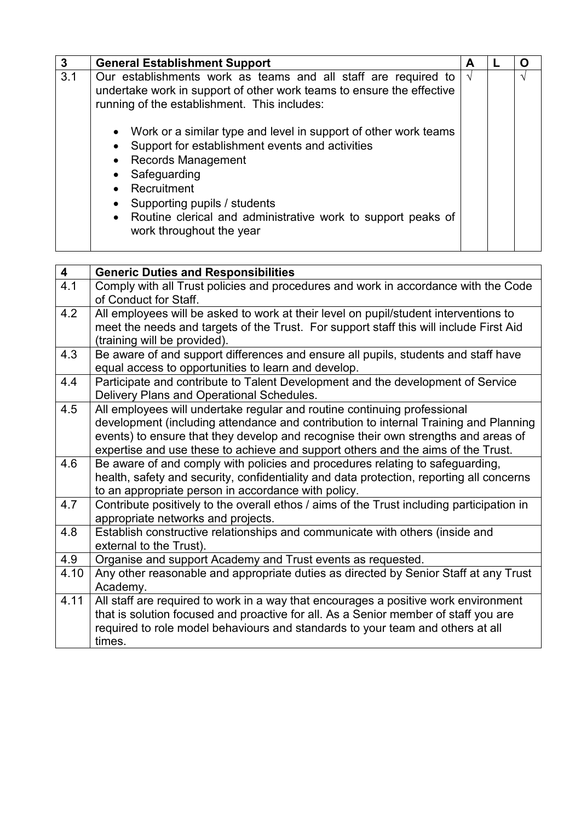| 3   | <b>General Establishment Support</b>                                                                                                                                                                                                                                                                                                    | A          |            |
|-----|-----------------------------------------------------------------------------------------------------------------------------------------------------------------------------------------------------------------------------------------------------------------------------------------------------------------------------------------|------------|------------|
| 3.1 | Our establishments work as teams and all staff are required to<br>undertake work in support of other work teams to ensure the effective<br>running of the establishment. This includes:                                                                                                                                                 | $\sqrt{ }$ | $\sqrt{ }$ |
|     | • Work or a similar type and level in support of other work teams<br>Support for establishment events and activities<br>$\bullet$<br>• Records Management<br>• Safeguarding<br>• Recruitment<br>Supporting pupils / students<br>$\bullet$<br>• Routine clerical and administrative work to support peaks of<br>work throughout the year |            |            |

| $\overline{\mathbf{4}}$ | <b>Generic Duties and Responsibilities</b>                                                |
|-------------------------|-------------------------------------------------------------------------------------------|
| 4.1                     | Comply with all Trust policies and procedures and work in accordance with the Code        |
|                         | of Conduct for Staff.                                                                     |
| 4.2                     | All employees will be asked to work at their level on pupil/student interventions to      |
|                         | meet the needs and targets of the Trust. For support staff this will include First Aid    |
|                         | (training will be provided).                                                              |
| 4.3                     | Be aware of and support differences and ensure all pupils, students and staff have        |
|                         | equal access to opportunities to learn and develop.                                       |
| 4.4                     | Participate and contribute to Talent Development and the development of Service           |
|                         | Delivery Plans and Operational Schedules.                                                 |
| 4.5                     | All employees will undertake regular and routine continuing professional                  |
|                         | development (including attendance and contribution to internal Training and Planning      |
|                         | events) to ensure that they develop and recognise their own strengths and areas of        |
|                         | expertise and use these to achieve and support others and the aims of the Trust.          |
| 4.6                     | Be aware of and comply with policies and procedures relating to safeguarding,             |
|                         | health, safety and security, confidentiality and data protection, reporting all concerns  |
|                         | to an appropriate person in accordance with policy.                                       |
| 4.7                     | Contribute positively to the overall ethos / aims of the Trust including participation in |
|                         | appropriate networks and projects.                                                        |
| 4.8                     | Establish constructive relationships and communicate with others (inside and              |
|                         | external to the Trust).                                                                   |
| 4.9                     | Organise and support Academy and Trust events as requested.                               |
| 4.10                    | Any other reasonable and appropriate duties as directed by Senior Staff at any Trust      |
|                         | Academy.                                                                                  |
| 4.11                    | All staff are required to work in a way that encourages a positive work environment       |
|                         | that is solution focused and proactive for all. As a Senior member of staff you are       |
|                         | required to role model behaviours and standards to your team and others at all            |
|                         | times.                                                                                    |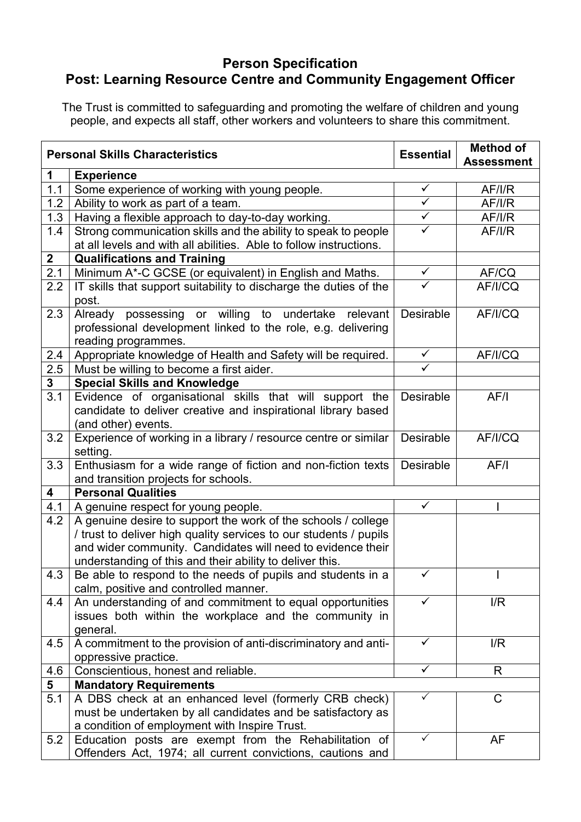## **Person Specification Post: Learning Resource Centre and Community Engagement Officer**

The Trust is committed to safeguarding and promoting the welfare of children and young people, and expects all staff, other workers and volunteers to share this commitment.

| <b>Personal Skills Characteristics</b> |                                                                                                                     |                         | <b>Method of</b><br><b>Assessment</b> |
|----------------------------------------|---------------------------------------------------------------------------------------------------------------------|-------------------------|---------------------------------------|
| 1                                      | <b>Experience</b>                                                                                                   |                         |                                       |
| 1.1                                    | Some experience of working with young people.                                                                       | $\checkmark$            | AF/IR                                 |
| 1.2                                    | Ability to work as part of a team.                                                                                  | $\overline{\checkmark}$ | AF/I/R                                |
| 1.3                                    | Having a flexible approach to day-to-day working.                                                                   | $\checkmark$            | AF/ I/R                               |
| 1.4                                    | Strong communication skills and the ability to speak to people                                                      | $\checkmark$            | AF/I/R                                |
|                                        | at all levels and with all abilities. Able to follow instructions.                                                  |                         |                                       |
| $\overline{2}$                         | <b>Qualifications and Training</b>                                                                                  |                         |                                       |
| 2.1                                    | Minimum A*-C GCSE (or equivalent) in English and Maths.                                                             | $\checkmark$            | AF/CQ                                 |
| 2.2                                    | IT skills that support suitability to discharge the duties of the<br>post.                                          |                         | AF/I/CQ                               |
| 2.3                                    | Already possessing or willing to undertake relevant                                                                 | <b>Desirable</b>        | AF/I/CQ                               |
|                                        | professional development linked to the role, e.g. delivering<br>reading programmes.                                 |                         |                                       |
| 2.4                                    | Appropriate knowledge of Health and Safety will be required.                                                        | $\checkmark$            | AF/I/CQ                               |
| 2.5                                    | Must be willing to become a first aider.                                                                            | ✓                       |                                       |
| 3                                      | <b>Special Skills and Knowledge</b>                                                                                 |                         |                                       |
| 3.1                                    | Evidence of organisational skills that will support the                                                             | <b>Desirable</b>        | AF/I                                  |
|                                        | candidate to deliver creative and inspirational library based                                                       |                         |                                       |
|                                        | (and other) events.                                                                                                 |                         |                                       |
| 3.2                                    | Experience of working in a library / resource centre or similar                                                     | Desirable               | AF/I/CQ                               |
|                                        | setting.                                                                                                            |                         |                                       |
| 3.3                                    | Enthusiasm for a wide range of fiction and non-fiction texts<br>and transition projects for schools.                | <b>Desirable</b>        | AF/I                                  |
| 4                                      | <b>Personal Qualities</b>                                                                                           |                         |                                       |
| 4.1                                    | A genuine respect for young people.                                                                                 | $\checkmark$            |                                       |
| 4.2                                    | A genuine desire to support the work of the schools / college                                                       |                         |                                       |
|                                        | / trust to deliver high quality services to our students / pupils                                                   |                         |                                       |
|                                        | and wider community. Candidates will need to evidence their                                                         |                         |                                       |
|                                        | understanding of this and their ability to deliver this.                                                            |                         |                                       |
| 4.3                                    | Be able to respond to the needs of pupils and students in a                                                         | ✓                       | L                                     |
|                                        | calm, positive and controlled manner.                                                                               |                         |                                       |
| 4.4                                    | An understanding of and commitment to equal opportunities                                                           | ✓                       | I/R                                   |
|                                        | issues both within the workplace and the community in                                                               |                         |                                       |
|                                        | general.                                                                                                            |                         |                                       |
| 4.5                                    | A commitment to the provision of anti-discriminatory and anti-                                                      | $\checkmark$            | I/R                                   |
|                                        | oppressive practice.                                                                                                |                         |                                       |
| 4.6                                    | Conscientious, honest and reliable.                                                                                 | $\checkmark$            | R                                     |
| 5                                      | <b>Mandatory Requirements</b>                                                                                       | $\checkmark$            |                                       |
| 5.1                                    | A DBS check at an enhanced level (formerly CRB check)                                                               |                         | $\mathsf C$                           |
|                                        | must be undertaken by all candidates and be satisfactory as                                                         |                         |                                       |
|                                        | a condition of employment with Inspire Trust.                                                                       | $\checkmark$            | AF                                    |
| 5.2                                    | Education posts are exempt from the Rehabilitation of<br>Offenders Act, 1974; all current convictions, cautions and |                         |                                       |
|                                        |                                                                                                                     |                         |                                       |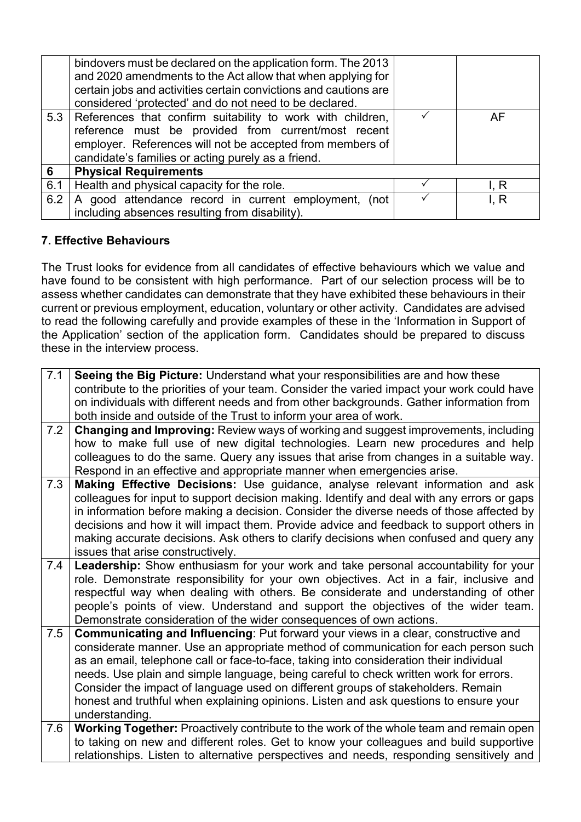|     | bindovers must be declared on the application form. The 2013<br>and 2020 amendments to the Act allow that when applying for<br>certain jobs and activities certain convictions and cautions are<br>considered 'protected' and do not need to be declared. |      |
|-----|-----------------------------------------------------------------------------------------------------------------------------------------------------------------------------------------------------------------------------------------------------------|------|
|     | 5.3 References that confirm suitability to work with children,<br>reference must be provided from current/most recent<br>employer. References will not be accepted from members of<br>candidate's families or acting purely as a friend.                  | AF   |
| 6   | <b>Physical Requirements</b>                                                                                                                                                                                                                              |      |
| 6.1 | Health and physical capacity for the role.                                                                                                                                                                                                                | I. R |
| 6.2 | A good attendance record in current employment, (not<br>including absences resulting from disability).                                                                                                                                                    | I. R |

### **7. Effective Behaviours**

The Trust looks for evidence from all candidates of effective behaviours which we value and have found to be consistent with high performance. Part of our selection process will be to assess whether candidates can demonstrate that they have exhibited these behaviours in their current or previous employment, education, voluntary or other activity. Candidates are advised to read the following carefully and provide examples of these in the 'Information in Support of the Application' section of the application form. Candidates should be prepared to discuss these in the interview process.

| $\overline{7.1}$ | Seeing the Big Picture: Understand what your responsibilities are and how these                                                                                                  |
|------------------|----------------------------------------------------------------------------------------------------------------------------------------------------------------------------------|
|                  | contribute to the priorities of your team. Consider the varied impact your work could have                                                                                       |
|                  | on individuals with different needs and from other backgrounds. Gather information from                                                                                          |
|                  | both inside and outside of the Trust to inform your area of work.                                                                                                                |
| 7.2              | <b>Changing and Improving:</b> Review ways of working and suggest improvements, including                                                                                        |
|                  | how to make full use of new digital technologies. Learn new procedures and help                                                                                                  |
|                  | colleagues to do the same. Query any issues that arise from changes in a suitable way.                                                                                           |
|                  | Respond in an effective and appropriate manner when emergencies arise.                                                                                                           |
| 7.3              | Making Effective Decisions: Use guidance, analyse relevant information and ask                                                                                                   |
|                  | colleagues for input to support decision making. Identify and deal with any errors or gaps                                                                                       |
|                  | in information before making a decision. Consider the diverse needs of those affected by                                                                                         |
|                  | decisions and how it will impact them. Provide advice and feedback to support others in                                                                                          |
|                  | making accurate decisions. Ask others to clarify decisions when confused and query any                                                                                           |
|                  | issues that arise constructively.                                                                                                                                                |
| 7.4              | Leadership: Show enthusiasm for your work and take personal accountability for your                                                                                              |
|                  | role. Demonstrate responsibility for your own objectives. Act in a fair, inclusive and                                                                                           |
|                  | respectful way when dealing with others. Be considerate and understanding of other                                                                                               |
|                  | people's points of view. Understand and support the objectives of the wider team.                                                                                                |
|                  | Demonstrate consideration of the wider consequences of own actions.                                                                                                              |
| 7.5              | <b>Communicating and Influencing: Put forward your views in a clear, constructive and</b><br>considerate manner. Use an appropriate method of communication for each person such |
|                  | as an email, telephone call or face-to-face, taking into consideration their individual                                                                                          |
|                  | needs. Use plain and simple language, being careful to check written work for errors.                                                                                            |
|                  | Consider the impact of language used on different groups of stakeholders. Remain                                                                                                 |
|                  | honest and truthful when explaining opinions. Listen and ask questions to ensure your                                                                                            |
|                  | understanding.                                                                                                                                                                   |
| 7.6              | Working Together: Proactively contribute to the work of the whole team and remain open                                                                                           |
|                  | to taking on new and different roles. Get to know your colleagues and build supportive                                                                                           |
|                  | relationships. Listen to alternative perspectives and needs, responding sensitively and                                                                                          |
|                  |                                                                                                                                                                                  |